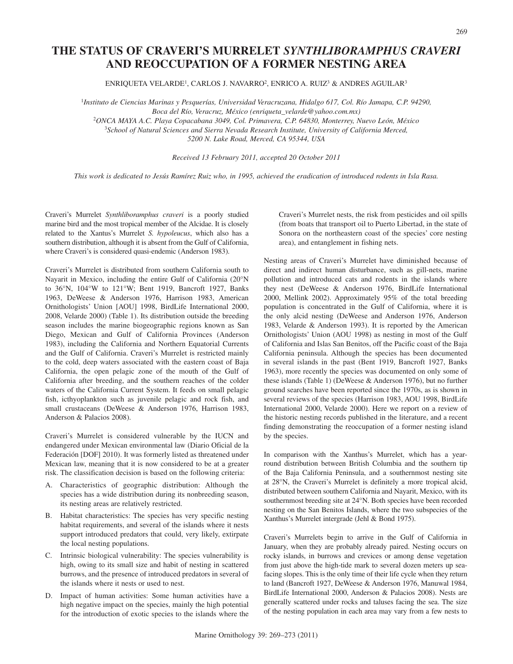## **THE STATUS OF CRAVERI'S MURRELET** *SYNTHLIBORAMPHUS CRAVERI* **AND REOCCUPATION OF A FORMER NESTING AREA**

ENRIQUETA VELARDE', CARLOS J. NAVARRO<sup>2</sup>, ENRICO A. RUIZ $^3$  & ANDRES AGUILAR $^3$ 

1 *Instituto de Ciencias Marinas y Pesquerías, Universidad Veracruzana, Hidalgo 617, Col. Río Jamapa, C.P. 94290, Boca del Río, Veracruz, México (enriqueta\_velarde@yahoo.com.mx)* 2 *ONCA MAYA A.C. Playa Copacabana 3049, Col. Primavera, C.P. 64830, Monterrey, Nuevo León, México* 3 *School of Natural Sciences and Sierra Nevada Research Institute, University of California Merced, 5200 N. Lake Road, Merced, CA 95344, USA*

*Received 13 February 2011, accepted 20 October 2011*

*This work is dedicated to Jesús Ramírez Ruiz who, in 1995, achieved the eradication of introduced rodents in Isla Rasa.*

Craveri's Murrelet *Synthliboramphus craveri* is a poorly studied marine bird and the most tropical member of the Alcidae. It is closely related to the Xantus's Murrelet *S. hypoleucus*, which also has a southern distribution, although it is absent from the Gulf of California, where Craveri's is considered quasi-endemic (Anderson 1983).

Craveri's Murrelet is distributed from southern California south to Nayarit in Mexico, including the entire Gulf of California (20°N to 36°N, 104°W to 121°W; Bent 1919, Bancroft 1927, Banks 1963, DeWeese & Anderson 1976, Harrison 1983, American Ornithologists' Union [AOU] 1998, BirdLife International 2000, 2008, Velarde 2000) (Table 1). Its distribution outside the breeding season includes the marine biogeographic regions known as San Diego, Mexican and Gulf of California Provinces (Anderson 1983), including the California and Northern Equatorial Currents and the Gulf of California. Craveri's Murrelet is restricted mainly to the cold, deep waters associated with the eastern coast of Baja California, the open pelagic zone of the mouth of the Gulf of California after breeding, and the southern reaches of the colder waters of the California Current System. It feeds on small pelagic fish, icthyoplankton such as juvenile pelagic and rock fish, and small crustaceans (DeWeese & Anderson 1976, Harrison 1983, Anderson & Palacios 2008).

Craveri's Murrelet is considered vulnerable by the IUCN and endangered under Mexican environmental law (Diario Oficial de la Federación [DOF] 2010). It was formerly listed as threatened under Mexican law, meaning that it is now considered to be at a greater risk. The classification decision is based on the following criteria:

- A. Characteristics of geographic distribution: Although the species has a wide distribution during its nonbreeding season, its nesting areas are relatively restricted.
- B. Habitat characteristics: The species has very specific nesting habitat requirements, and several of the islands where it nests support introduced predators that could, very likely, extirpate the local nesting populations.
- C. Intrinsic biological vulnerability: The species vulnerability is high, owing to its small size and habit of nesting in scattered burrows, and the presence of introduced predators in several of the islands where it nests or used to nest.
- D. Impact of human activities: Some human activities have a high negative impact on the species, mainly the high potential for the introduction of exotic species to the islands where the

Craveri's Murrelet nests, the risk from pesticides and oil spills (from boats that transport oil to Puerto Libertad, in the state of Sonora on the northeastern coast of the species' core nesting area), and entanglement in fishing nets.

Nesting areas of Craveri's Murrelet have diminished because of direct and indirect human disturbance, such as gill-nets, marine pollution and introduced cats and rodents in the islands where they nest (DeWeese & Anderson 1976, BirdLife International 2000, Mellink 2002). Approximately 95% of the total breeding population is concentrated in the Gulf of California, where it is the only alcid nesting (DeWeese and Anderson 1976, Anderson 1983, Velarde & Anderson 1993). It is reported by the American Ornithologists' Union (AOU 1998) as nesting in most of the Gulf of California and Islas San Benitos, off the Pacific coast of the Baja California peninsula. Although the species has been documented in several islands in the past (Bent 1919, Bancroft 1927, Banks 1963), more recently the species was documented on only some of these islands (Table 1) (DeWeese & Anderson 1976), but no further ground searches have been reported since the 1970s, as is shown in several reviews of the species (Harrison 1983, AOU 1998, BirdLife International 2000, Velarde 2000). Here we report on a review of the historic nesting records published in the literature, and a recent finding demonstrating the reoccupation of a former nesting island by the species.

In comparison with the Xanthus's Murrelet, which has a yearround distribution between British Columbia and the southern tip of the Baja California Peninsula, and a southernmost nesting site at 28°N, the Craveri's Murrelet is definitely a more tropical alcid, distributed between southern California and Nayarit, Mexico, with its southernmost breeding site at 24°N. Both species have been recorded nesting on the San Benitos Islands, where the two subspecies of the Xanthus's Murrelet intergrade (Jehl & Bond 1975).

Craveri's Murrelets begin to arrive in the Gulf of California in January, when they are probably already paired. Nesting occurs on rocky islands, in burrows and crevices or among dense vegetation from just above the high-tide mark to several dozen meters up seafacing slopes. This is the only time of their life cycle when they return to land (Bancroft 1927, DeWeese & Anderson 1976, Manuwal 1984, BirdLife International 2000, Anderson & Palacios 2008). Nests are generally scattered under rocks and taluses facing the sea. The size of the nesting population in each area may vary from a few nests to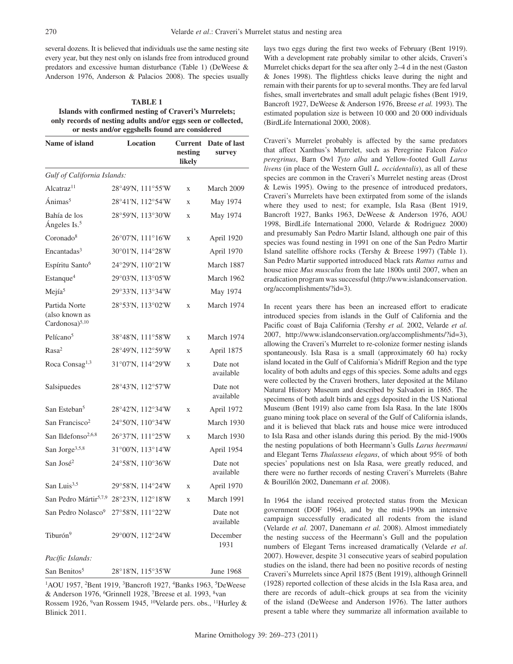several dozens. It is believed that individuals use the same nesting site every year, but they nest only on islands free from introduced ground predators and excessive human disturbance (Table 1) (DeWeese & Anderson 1976, Anderson & Palacios 2008). The species usually

**TABLE 1 Islands with confirmed nesting of Craveri's Murrelets; only records of nesting adults and/or eggs seen or collected, or nests and/or eggshells found are considered** 

| Name of island                                                | <b>Location</b>   | <b>Current</b><br>nesting<br>likely | Date of last<br>survey |
|---------------------------------------------------------------|-------------------|-------------------------------------|------------------------|
| Gulf of California Islands:                                   |                   |                                     |                        |
| Alcatraz <sup>11</sup>                                        | 28°49'N, 111°55'W | X                                   | March 2009             |
| Ánimas <sup>5</sup>                                           | 28°41'N, 112°54'W | X                                   | May 1974               |
| Bahía de los<br>Ángeles Is. <sup>5</sup>                      | 28°59'N, 113°30'W | $\mathbf x$                         | May 1974               |
| Coronado <sup>8</sup>                                         | 26°07'N, 111°16'W | X                                   | April 1920             |
| Encantadas <sup>3</sup>                                       | 30°01'N, 114°28'W |                                     | April 1970             |
| Espíritu Santo <sup>6</sup>                                   | 24°29'N, 110°21'W |                                     | March 1887             |
| Estanque <sup>4</sup>                                         | 29°03'N, 113°05'W |                                     | March 1962             |
| Mejía <sup>5</sup>                                            | 29°33'N, 113°34'W |                                     | May 1974               |
| Partida Norte<br>(also known as<br>Cardonosa) <sup>5,10</sup> | 28°53'N, 113°02'W | X                                   | March 1974             |
| Pelícano <sup>5</sup>                                         | 38°48'N, 111°58'W | X                                   | March 1974             |
| Rasa <sup>2</sup>                                             | 28°49'N, 112°59'W | X                                   | April 1875             |
| Roca Consag <sup>1,3</sup>                                    | 31°07'N, 114°29'W | X                                   | Date not<br>available  |
| Salsipuedes                                                   | 28°43'N, 112°57'W |                                     | Date not<br>available  |
| San Esteban <sup>5</sup>                                      | 28°42'N, 112°34'W | X                                   | April 1972             |
| San Francisco <sup>2</sup>                                    | 24°50'N, 110°34'W |                                     | March 1930             |
| San Ildefonso <sup>2,6,8</sup>                                | 26°37'N, 111°25'W | $\mathbf x$                         | March 1930             |
| San Jorge <sup>3,5,8</sup>                                    | 31°00'N, 113°14'W |                                     | April 1954             |
| San José <sup>2</sup>                                         | 24°58'N, 110°36'W |                                     | Date not<br>available  |
| San Luis $3,5$                                                | 29°58'N, 114°24'W | X                                   | April 1970             |
| San Pedro Mártir <sup>5,7,9</sup> 28°23'N, 112°18'W           |                   | X                                   | March 1991             |
| San Pedro Nolasco <sup>9</sup> 27°58'N, 111°22'W              |                   |                                     | Date not<br>available  |
| Tiburón <sup>9</sup>                                          | 29°00'N, 112°24'W |                                     | December<br>1931       |
| Pacífic Islands:                                              |                   |                                     |                        |
| San Benitos <sup>5</sup>                                      | 28°18'N, 115°35'W |                                     | <b>June 1968</b>       |

<sup>1</sup>AOU 1957, <sup>2</sup>Bent 1919, <sup>3</sup>Bancroft 1927, <sup>4</sup>Banks 1963, <sup>5</sup>DeWeese & Anderson 1976, 6Grinnell 1928, 7Breese et al. 1993, 8van Rossem 1926, <sup>9</sup>van Rossem 1945, <sup>10</sup>Velarde pers. obs., <sup>11</sup>Hurley & Blinick 2011.

lays two eggs during the first two weeks of February (Bent 1919). With a development rate probably similar to other alcids, Craveri's Murrelet chicks depart for the sea after only 2–4 d in the nest (Gaston & Jones 1998). The flightless chicks leave during the night and remain with their parents for up to several months. They are fed larval fishes, small invertebrates and small adult pelagic fishes (Bent 1919, Bancroft 1927, DeWeese & Anderson 1976, Breese *et al.* 1993). The estimated population size is between 10 000 and 20 000 individuals (BirdLife International 2000, 2008).

Craveri's Murrelet probably is affected by the same predators that affect Xanthus's Murrelet, such as Peregrine Falcon *Falco peregrinus*, Barn Owl *Tyto alba* and Yellow-footed Gull *Larus livens* (in place of the Western Gull *L. occidentalis*), as all of these species are common in the Craveri's Murrelet nesting areas (Drost & Lewis 1995). Owing to the presence of introduced predators, Craveri's Murrelets have been extirpated from some of the islands where they used to nest; for example, Isla Rasa (Bent 1919, Bancroft 1927, Banks 1963, DeWeese & Anderson 1976, AOU 1998, BirdLife International 2000, Velarde & Rodriguez 2000) and presumably San Pedro Martir Island, although one pair of this species was found nesting in 1991 on one of the San Pedro Martir Island satellite offshore rocks (Tershy & Breese 1997) (Table 1). San Pedro Martir supported introduced black rats *Rattus rattus* and house mice *Mus musculus* from the late 1800s until 2007, when an eradication program was successful (http://www.islandconservation. org/accomplishments/?id=3).

In recent years there has been an increased effort to eradicate introduced species from islands in the Gulf of California and the Pacific coast of Baja California (Tershy *et al.* 2002, Velarde *et al.* 2007, http://www.islandconservation.org/accomplishments/?id=3), allowing the Craveri's Murrelet to re-colonize former nesting islands spontaneously. Isla Rasa is a small (approximately 60 ha) rocky island located in the Gulf of California's Midriff Region and the type locality of both adults and eggs of this species. Some adults and eggs were collected by the Craveri brothers, later deposited at the Milano Natural History Museum and described by Salvadori in 1865. The specimens of both adult birds and eggs deposited in the US National Museum (Bent 1919) also came from Isla Rasa. In the late 1800s guano mining took place on several of the Gulf of California islands, and it is believed that black rats and house mice were introduced to Isla Rasa and other islands during this period. By the mid-1900s the nesting populations of both Heermann's Gulls *Larus heermanni* and Elegant Terns *Thalasseus elegans*, of which about 95% of both species' populations nest on Isla Rasa, were greatly reduced, and there were no further records of nesting Craveri's Murrelets (Bahre & Bourillón 2002, Danemann *et al.* 2008).

In 1964 the island received protected status from the Mexican government (DOF 1964), and by the mid-1990s an intensive campaign successfully eradicated all rodents from the island (Velarde *et al.* 2007, Danemann *et al.* 2008). Almost immediately the nesting success of the Heermann's Gull and the population numbers of Elegant Terns increased dramatically (Velarde *et al*. 2007). However, despite 31 consecutive years of seabird population studies on the island, there had been no positive records of nesting Craveri's Murrelets since April 1875 (Bent 1919), although Grinnell (1928) reported collection of these alcids in the Isla Rasa area, and there are records of adult–chick groups at sea from the vicinity of the island (DeWeese and Anderson 1976). The latter authors present a table where they summarize all information available to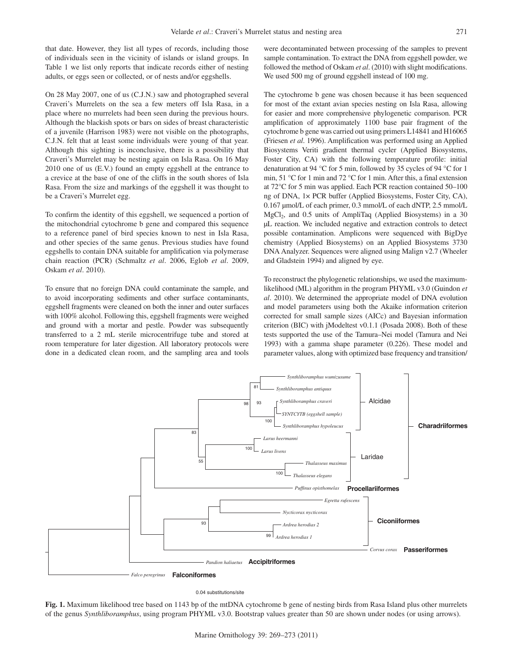that date. However, they list all types of records, including those of individuals seen in the vicinity of islands or island groups. In Table 1 we list only reports that indicate records either of nesting adults, or eggs seen or collected, or of nests and/or eggshells.

On 28 May 2007, one of us (C.J.N.) saw and photographed several Craveri's Murrelets on the sea a few meters off Isla Rasa, in a place where no murrelets had been seen during the previous hours. Although the blackish spots or bars on sides of breast characteristic of a juvenile (Harrison 1983) were not visible on the photographs, C.J.N. felt that at least some individuals were young of that year. Although this sighting is inconclusive, there is a possibility that Craveri's Murrelet may be nesting again on Isla Rasa. On 16 May 2010 one of us (E.V.) found an empty eggshell at the entrance to a crevice at the base of one of the cliffs in the south shores of Isla Rasa. From the size and markings of the eggshell it was thought to be a Craveri's Murrelet egg.

To confirm the identity of this eggshell, we sequenced a portion of the mitochondrial cytochrome b gene and compared this sequence to a reference panel of bird species known to nest in Isla Rasa, and other species of the same genus. Previous studies have found eggshells to contain DNA suitable for amplification via polymerase chain reaction (PCR) (Schmaltz *et al*. 2006, Eglob *et al*. 2009, Oskam *et al*. 2010).

To ensure that no foreign DNA could contaminate the sample, and to avoid incorporating sediments and other surface contaminants, eggshell fragments were cleaned on both the inner and outer surfaces with 100% alcohol. Following this, eggshell fragments were weighed and ground with a mortar and pestle. Powder was subsequently transferred to a 2 mL sterile microcentrifuge tube and stored at room temperature for later digestion. All laboratory protocols were done in a dedicated clean room, and the sampling area and tools

were decontaminated between processing of the samples to prevent sample contamination. To extract the DNA from eggshell powder, we followed the method of Oskam *et al*. (2010) with slight modifications. We used 500 mg of ground eggshell instead of 100 mg.

The cytochrome b gene was chosen because it has been sequenced for most of the extant avian species nesting on Isla Rasa, allowing for easier and more comprehensive phylogenetic comparison. PCR amplification of approximately 1100 base pair fragment of the cytochrome b gene was carried out using primers L14841 and H16065 (Friesen *et al*. 1996). Amplification was performed using an Applied Biosystems Veriti gradient thermal cycler (Applied Biosystems, Foster City, CA) with the following temperature profile: initial denaturation at 94 °C for 5 min, followed by 35 cycles of 94 °C for 1 min, 51 °C for 1 min and 72 °C for 1 min. After this, a final extension at 72°C for 5 min was applied. Each PCR reaction contained 50–100 ng of DNA, 1× PCR buffer (Applied Biosystems, Foster City, CA), 0.167 µmol/L of each primer, 0.3 mmol/L of each dNTP, 2.5 mmol/L  $MgCl<sub>2</sub>$ , and 0.5 units of AmpliTaq (Applied Biosystems) in a 30 µL reaction. We included negative and extraction controls to detect possible contamination. Amplicons were sequenced with BigDye chemistry (Applied Biosystems) on an Applied Biosystems 3730 DNA Analyzer. Sequences were aligned using Malign v2.7 (Wheeler and Gladstein 1994) and aligned by eye.

To reconstruct the phylogenetic relationships, we used the maximumlikelihood (ML) algorithm in the program PHYML v3.0 (Guindon *et al*. 2010). We determined the appropriate model of DNA evolution and model parameters using both the Akaike information criterion corrected for small sample sizes (AICc) and Bayesian information criterion (BIC) with jModeltest v0.1.1 (Posada 2008). Both of these tests supported the use of the Tamura–Nei model (Tamura and Nei 1993) with a gamma shape parameter (0.226). These model and parameter values, along with optimized base frequency and transition/



0.04 substitutions/site

**Fig. 1.** Maximum likelihood tree based on 1143 bp of the mtDNA cytochrome b gene of nesting birds from Rasa Island plus other murrelets of the genus *Synthliboramphus*, using program PHYML v3.0. Bootstrap values greater than 50 are shown under nodes (or using arrows).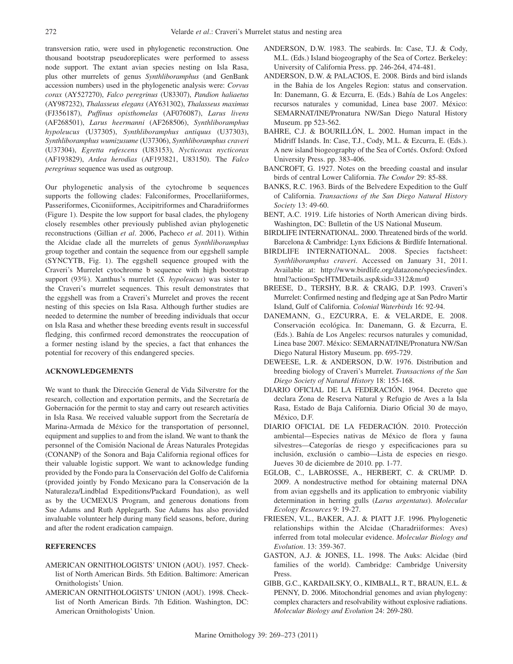transversion ratio, were used in phylogenetic reconstruction. One thousand bootstrap pseudoreplicates were performed to assess node support. The extant avian species nesting on Isla Rasa, plus other murrelets of genus *Synthliboramphus* (and GenBank accession numbers) used in the phylogenetic analysis were: *Corvus corax* (AY527270), *Falco peregrinus* (U83307), *Pandion haliaetus* (AY987232), *Thalasseus elegans* (AY631302), *Thalasseus maximus* (FJ356187), *Puffinus opisthomelas* (AF076087), *Larus livens* (AF268501), *Larus heermanni* (AF268506), *Synthliboramphus hypoleucus* (U37305), *Synthliboramphus antiquus* (U37303), *Synthliboramphus wumizusume* (U37306), *Synthliboramphus craveri* (U37304), *Egretta rufescens* (U83153), *Nycticorax nycticorax* (AF193829), *Ardea herodias* (AF193821, U83150). The *Falco peregrinus* sequence was used as outgroup.

Our phylogenetic analysis of the cytochrome b sequences supports the following clades: Falconiformes, Procellariiformes, Passeriformes, Ciconiiformes, Accipitriformes and Charadriiformes (Figure 1). Despite the low support for basal clades, the phylogeny closely resembles other previously published avian phylogenetic reconstructions (Gillian *et al*. 2006, Pacheco *et al*. 2011). Within the Alcidae clade all the murrelets of genus *Synthliboramphus* group together and contain the sequence from our eggshell sample (SYNCYTB, Fig. 1). The eggshell sequence grouped with the Craveri's Murrelet cytochrome b sequence with high bootstrap support (93%). Xanthus's murrelet (*S. hypoleucus*) was sister to the Craveri's murrelet sequences. This result demonstrates that the eggshell was from a Craveri's Murrelet and proves the recent nesting of this species on Isla Rasa. Although further studies are needed to determine the number of breeding individuals that occur on Isla Rasa and whether these breeding events result in successful fledging, this confirmed record demonstrates the reoccupation of a former nesting island by the species, a fact that enhances the potential for recovery of this endangered species.

## **ACKNOWLEDGEMENTS**

We want to thank the Dirección General de Vida Silverstre for the research, collection and exportation permits, and the Secretaría de Gobernación for the permit to stay and carry out research activities in Isla Rasa. We received valuable support from the Secretaría de Marina-Armada de México for the transportation of personnel, equipment and supplies to and from the island. We want to thank the personnel of the Comisión Nacional de Áreas Naturales Protegidas (CONANP) of the Sonora and Baja California regional offices for their valuable logistic support. We want to acknowledge funding provided by the Fondo para la Conservación del Golfo de California (provided jointly by Fondo Mexicano para la Conservación de la Naturaleza/Lindblad Expeditions/Packard Foundation), as well as by the UCMEXUS Program, and generous donations from Sue Adams and Ruth Applegarth. Sue Adams has also provided invaluable volunteer help during many field seasons, before, during and after the rodent eradication campaign.

## **REFERENCES**

- AMERICAN ORNITHOLOGISTS' UNION (AOU). 1957. Checklist of North American Birds. 5th Edition. Baltimore: American Ornithologists' Union.
- AMERICAN ORNITHOLOGISTS' UNION (AOU). 1998. Checklist of North American Birds. 7th Edition. Washington, DC: American Ornithologists' Union.
- Anderson, D.W. 1983. The seabirds. In: Case, T.J. & Cody, M.L. (Eds.) Island biogeography of the Sea of Cortez. Berkeley: University of California Press. pp. 246-264, 474-481.
- ANDERSON, D.W. & PALACIOS, E. 2008. Birds and bird islands in the Bahia de los Angeles Region: status and conservation. In: Danemann, G. & Ezcurra, E. (Eds.) Bahía de Los Angeles: recursos naturales y comunidad, Linea base 2007. México: SEMARNAT/INE/Pronatura NW/San Diego Natural History Museum. pp 523-562.
- BAHRE, C.J. & BOURILLÓN, L. 2002. Human impact in the Midriff Islands. In: Case, T.J., Cody, M.L. & Ezcurra, E. (Eds.). A new island biogeography of the Sea of Cortés. Oxford: Oxford University Press. pp. 383-406.
- BANCROFT, G. 1927. Notes on the breeding coastal and insular birds of central Lower California. *The Condor* 29: 85-88.
- Banks, R.C. 1963. Birds of the Belvedere Expedition to the Gulf of California. *Transactions of the San Diego Natural History Society* 13: 49-60.
- BENT, A.C. 1919. Life histories of North American diving birds. Washington, DC: Bulletin of the US National Museum.
- BIRDLIFE INTERNATIONAL. 2000. Threatened birds of the world. Barcelona & Cambridge: Lynx Edicions & Birdlife International.
- BirdLife International. 2008. Species factsheet: *Synthliboramphus craveri*. Accessed on January 31, 2011. Available at: http://www.birdlife.org/datazone/species/index. html?action=SpcHTMDetails.asp&sid=3312&m=0
- BREESE, D., TERSHY, B.R. & CRAIG, D.P. 1993. Craveri's Murrelet: Confirmed nesting and fledging age at San Pedro Martir Island, Gulf of California. *Colonial Waterbirds* 16: 92-94.
- Danemann, G., Ezcurra, E. & Velarde, E. 2008. Conservación ecológica. In: Danemann, G. & Ezcurra, E. (Eds.). Bahía de Los Angeles: recursos naturales y comunidad, Linea base 2007. México: SEMARNAT/INE/Pronatura NW/San Diego Natural History Museum. pp. 695-729.
- DEWEESE, L.R. & ANDERSON, D.W. 1976. Distribution and breeding biology of Craveri's Murrelet. *Transactions of the San Diego Society of Natural History* 18: 155-168.
- DIARIO OFICIAL DE LA FEDERACIÓN. 1964. Decreto que declara Zona de Reserva Natural y Refugio de Aves a la Isla Rasa, Estado de Baja California. Diario Oficial 30 de mayo, México, D.F.
- DIARIO OFICIAL DE LA FEDERACIÓN. 2010. Protección ambiental—Especies nativas de México de flora y fauna silvestres—Categorías de riesgo y especificaciones para su inclusión, exclusión o cambio—Lista de especies en riesgo. Jueves 30 de diciembre de 2010. pp. 1-77.
- EGLOB, C., LABROSSE, A., HERBERT, C. & CRUMP. D. 2009. A nondestructive method for obtaining maternal DNA from avian eggshells and its application to embryonic viability determination in herring gulls (*Larus argentatus*). *Molecular Ecology Resources* 9: 19-27.
- FRIESEN, V.L., Baker, A.J. & Piatt J.F. 1996. Phylogenetic relationships within the Alcidae (Charadriiformes: Aves) inferred from total molecular evidence. *Molecular Biology and Evolution*. 13: 359-367.
- GASTON, A.J. & JONES, I.L. 1998. The Auks: Alcidae (bird families of the world). Cambridge: Cambridge University Press.
- GIBB, G.C., Kardailsky, O., Kimball, R T., Braun, E.L. & PENNY, D. 2006. Mitochondrial genomes and avian phylogeny: complex characters and resolvability without explosive radiations. *Molecular Biology and Evolution* 24: 269-280.